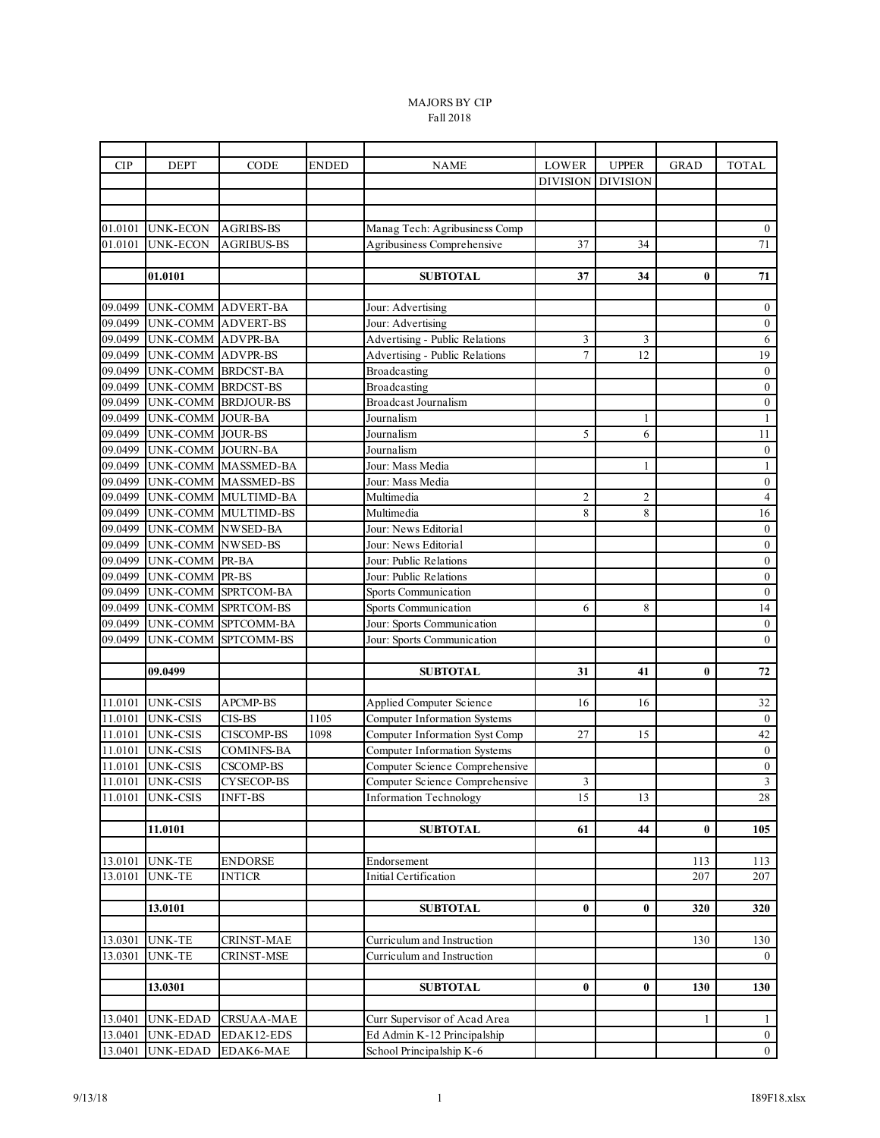## MAJORS BY CIP Fall 2018

| <b>CIP</b>         | <b>DEPT</b>              | CODE                                       | <b>ENDED</b> | <b>NAME</b>                         | <b>LOWER</b>        | <b>UPPER</b>    | <b>GRAD</b> | <b>TOTAL</b>                      |
|--------------------|--------------------------|--------------------------------------------|--------------|-------------------------------------|---------------------|-----------------|-------------|-----------------------------------|
|                    |                          |                                            |              |                                     | <b>DIVISION</b>     | <b>DIVISION</b> |             |                                   |
|                    |                          |                                            |              |                                     |                     |                 |             |                                   |
|                    |                          |                                            |              |                                     |                     |                 |             |                                   |
| 01.0101            | <b>UNK-ECON</b>          | <b>AGRIBS-BS</b>                           |              | Manag Tech: Agribusiness Comp       |                     |                 |             | $\bf{0}$                          |
| 01.0101            | <b>UNK-ECON</b>          | <b>AGRIBUS-BS</b>                          |              | Agribusiness Comprehensive          | 37                  | 34              |             | 71                                |
|                    |                          |                                            |              |                                     |                     |                 |             |                                   |
|                    | 01.0101                  |                                            |              | <b>SUBTOTAL</b>                     | 37                  | 34              | $\bf{0}$    | ${\bf 71}$                        |
|                    |                          |                                            |              |                                     |                     |                 |             |                                   |
| 09.0499            | UNK-COMM                 | <b>ADVERT-BA</b>                           |              | Jour: Advertising                   |                     |                 |             | $\bf{0}$                          |
| 09.0499            | <b>UNK-COMM</b>          | <b>ADVERT-BS</b>                           |              | Jour: Advertising                   |                     |                 |             | $\boldsymbol{0}$                  |
| 09.0499            | <b>UNK-COMM</b>          | <b>ADVPR-BA</b>                            |              | Advertising - Public Relations      | 3                   | 3               |             | 6                                 |
| 09.0499            | UNK-COMM ADVPR-BS        |                                            |              | Advertising - Public Relations      | $\overline{7}$      | 12              |             | 19                                |
| 09.0499            | UNK-COMM BRDCST-BA       |                                            |              | Broadcasting                        |                     |                 |             | $\boldsymbol{0}$                  |
| 09.0499            | UNK-COMM BRDCST-BS       |                                            |              | Broadcasting                        |                     |                 |             | $\boldsymbol{0}$                  |
| 09.0499            |                          | UNK-COMM BRDJOUR-BS                        |              | <b>Broadcast Journalism</b>         |                     |                 |             | $\boldsymbol{0}$                  |
| 09.0499            | <b>UNK-COMM</b>          | <b>JOUR-BA</b>                             |              | Journalism                          |                     | 1               |             | $\mathbf{1}$                      |
| 09.0499            | UNK-COMM JOUR-BS         |                                            |              | Journalism                          | 5                   | 6               |             | 11                                |
| 09.0499            | UNK-COMM JOURN-BA        |                                            |              | Journalism                          |                     |                 |             | $\boldsymbol{0}$                  |
| 09.0499<br>09.0499 |                          | UNK-COMM MASSMED-BA                        |              | Jour: Mass Media                    |                     | $\mathbf{1}$    |             | $\mathbf{1}$                      |
|                    |                          | UNK-COMM MASSMED-BS                        |              | Jour: Mass Media<br>Multimedia      |                     |                 |             | $\boldsymbol{0}$                  |
| 09.0499<br>09.0499 |                          | UNK-COMM MULTIMD-BA<br>UNK-COMM MULTIMD-BS |              | Multimedia                          | $\overline{c}$<br>8 | 2<br>8          |             | $\overline{4}$<br>$\overline{16}$ |
| 09.0499            | UNK-COMM NWSED-BA        |                                            |              | Jour: News Editorial                |                     |                 |             | $\boldsymbol{0}$                  |
| 09.0499            | <b>UNK-COMM NWSED-BS</b> |                                            |              | Jour: News Editorial                |                     |                 |             | $\boldsymbol{0}$                  |
| 09.0499            | UNK-COMM PR-BA           |                                            |              | Jour: Public Relations              |                     |                 |             | $\boldsymbol{0}$                  |
| 09.0499            | <b>UNK-COMM</b>          | PR-BS                                      |              | Jour: Public Relations              |                     |                 |             | $\boldsymbol{0}$                  |
| 09.0499            | <b>UNK-COMM</b>          | SPRTCOM-BA                                 |              | Sports Communication                |                     |                 |             | $\boldsymbol{0}$                  |
| 09.0499            | UNK-COMM                 | SPRTCOM-BS                                 |              | Sports Communication                | 6                   | 8               |             | $\overline{14}$                   |
| 09.0499            |                          | UNK-COMM SPTCOMM-BA                        |              | Jour: Sports Communication          |                     |                 |             | $\boldsymbol{0}$                  |
| 09.0499            | UNK-COMM                 | SPTCOMM-BS                                 |              | Jour: Sports Communication          |                     |                 |             | $\boldsymbol{0}$                  |
|                    |                          |                                            |              |                                     |                     |                 |             |                                   |
|                    | 09.0499                  |                                            |              | <b>SUBTOTAL</b>                     | 31                  | 41              | $\bf{0}$    | 72                                |
|                    |                          |                                            |              |                                     |                     |                 |             |                                   |
| 11.0101            | <b>UNK-CSIS</b>          | APCMP-BS                                   |              | Applied Computer Science            | 16                  | 16              |             | 32                                |
| 11.0101            | <b>UNK-CSIS</b>          | CIS-BS                                     | 1105         | Computer Information Systems        |                     |                 |             | $\boldsymbol{0}$                  |
| 11.0101            | <b>UNK-CSIS</b>          | <b>CISCOMP-BS</b>                          | 1098         | Computer Information Syst Comp      | 27                  | 15              |             | 42                                |
| 11.0101            | <b>UNK-CSIS</b>          | <b>COMINFS-BA</b>                          |              | <b>Computer Information Systems</b> |                     |                 |             | $\boldsymbol{0}$                  |
| 11.0101            | <b>UNK-CSIS</b>          | <b>CSCOMP-BS</b>                           |              | Computer Science Comprehensive      |                     |                 |             | $\boldsymbol{0}$                  |
| 11.0101            | <b>UNK-CSIS</b>          | CYSECOP-BS                                 |              | Computer Science Comprehensive      | 3                   |                 |             | $\overline{3}$                    |
| 11.0101            | <b>UNK-CSIS</b>          | <b>INFT-BS</b>                             |              | <b>Information Technology</b>       | 15                  | 13              |             | 28                                |
|                    |                          |                                            |              |                                     |                     |                 |             |                                   |
|                    | 11.0101                  |                                            |              | <b>SUBTOTAL</b>                     | 61                  | 44              | $\bf{0}$    | 105                               |
|                    |                          |                                            |              |                                     |                     |                 |             |                                   |
| 13.0101            | <b>UNK-TE</b>            | <b>ENDORSE</b>                             |              | Endorsement                         |                     |                 | 113         | 113                               |
| 13.0101            | UNK-TE                   | <b>INTICR</b>                              |              | Initial Certification               |                     |                 | 207         | 207                               |
|                    |                          |                                            |              |                                     |                     |                 |             |                                   |
|                    | 13.0101                  |                                            |              | <b>SUBTOTAL</b>                     | $\bf{0}$            | $\bf{0}$        | 320         | 320                               |
|                    |                          |                                            |              |                                     |                     |                 |             |                                   |
| 13.0301            | <b>UNK-TE</b>            | <b>CRINST-MAE</b>                          |              | Curriculum and Instruction          |                     |                 | 130         | 130                               |
| 13.0301            | <b>UNK-TE</b>            | CRINST-MSE                                 |              | Curriculum and Instruction          |                     |                 |             | $\overline{0}$                    |
|                    |                          |                                            |              |                                     |                     |                 |             |                                   |
|                    | 13.0301                  |                                            |              | <b>SUBTOTAL</b>                     | $\bf{0}$            | 0               | 130         | 130                               |
| 13.0401            | <b>UNK-EDAD</b>          | <b>CRSUAA-MAE</b>                          |              | Curr Supervisor of Acad Area        |                     |                 | 1           | $\mathbf{1}$                      |
| 13.0401            | <b>UNK-EDAD</b>          | EDAK12-EDS                                 |              | Ed Admin K-12 Principalship         |                     |                 |             | $\mathbf{0}$                      |
| 13.0401            | <b>UNK-EDAD</b>          | EDAK6-MAE                                  |              | School Principalship K-6            |                     |                 |             | $\overline{0}$                    |
|                    |                          |                                            |              |                                     |                     |                 |             |                                   |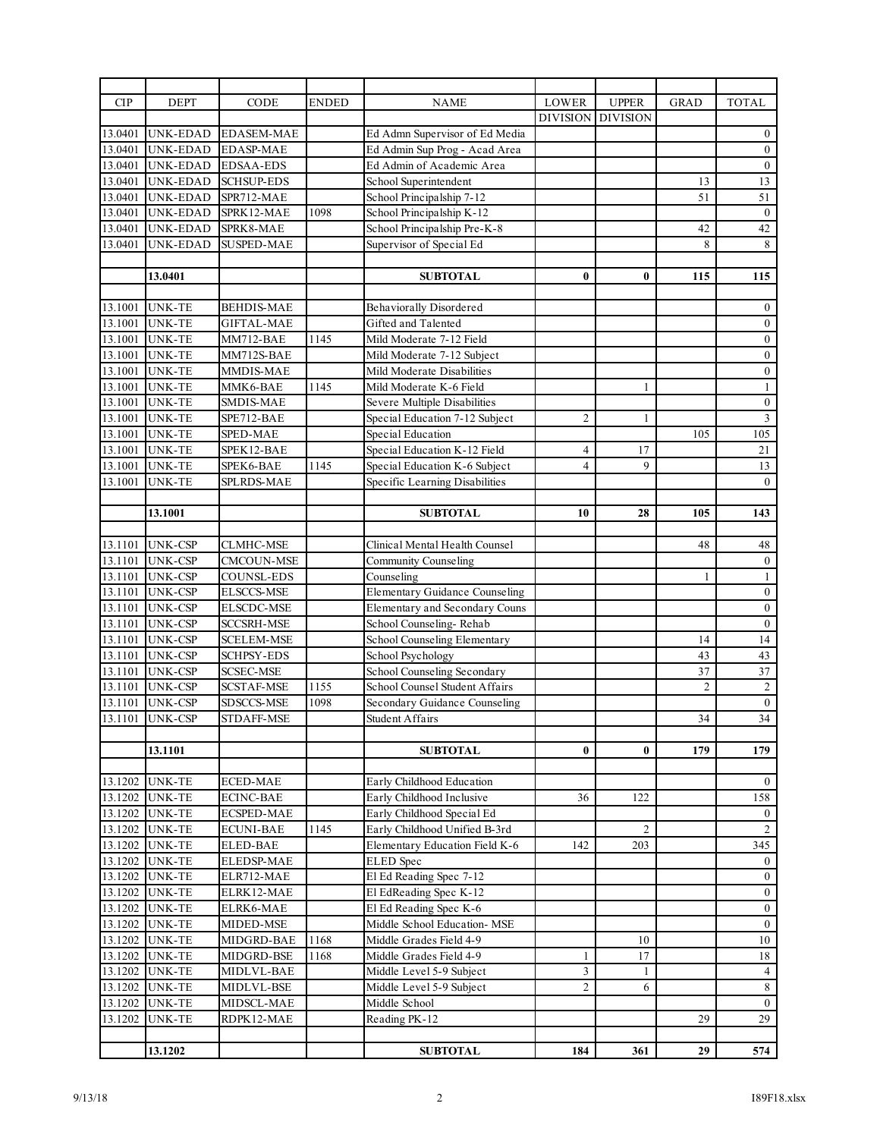| <b>CIP</b> | <b>DEPT</b>     | CODE              | ENDED | <b>NAME</b>                    | <b>LOWER</b>    | <b>UPPER</b>    | <b>GRAD</b>    | <b>TOTAL</b>     |
|------------|-----------------|-------------------|-------|--------------------------------|-----------------|-----------------|----------------|------------------|
|            |                 |                   |       |                                | <b>DIVISION</b> | <b>DIVISION</b> |                |                  |
| 13.0401    | UNK-EDAD        | <b>EDASEM-MAE</b> |       | Ed Admn Supervisor of Ed Media |                 |                 |                | $\mathbf{0}$     |
| 13.0401    | <b>UNK-EDAD</b> | <b>EDASP-MAE</b>  |       | Ed Admin Sup Prog - Acad Area  |                 |                 |                | $\boldsymbol{0}$ |
| 13.0401    | UNK-EDAD        | <b>EDSAA-EDS</b>  |       | Ed Admin of Academic Area      |                 |                 |                | $\boldsymbol{0}$ |
| 13.0401    | <b>UNK-EDAD</b> | <b>SCHSUP-EDS</b> |       | School Superintendent          |                 |                 | 13             | 13               |
| 13.0401    | <b>UNK-EDAD</b> | SPR712-MAE        |       | School Principalship 7-12      |                 |                 | 51             | $\overline{51}$  |
| 13.0401    | UNK-EDAD        | SPRK12-MAE        | 1098  | School Principalship K-12      |                 |                 |                | $\boldsymbol{0}$ |
| 13.0401    | <b>UNK-EDAD</b> | SPRK8-MAE         |       | School Principalship Pre-K-8   |                 |                 | 42             | 42               |
| 13.0401    | UNK-EDAD        | SUSPED-MAE        |       | Supervisor of Special Ed       |                 |                 | 8              | 8                |
|            |                 |                   |       |                                |                 |                 |                |                  |
|            | 13.0401         |                   |       | <b>SUBTOTAL</b>                | $\bf{0}$        | $\bf{0}$        | 115            | 115              |
|            |                 |                   |       |                                |                 |                 |                |                  |
| 13.1001    | <b>UNK-TE</b>   | <b>BEHDIS-MAE</b> |       | <b>Behaviorally Disordered</b> |                 |                 |                | $\boldsymbol{0}$ |
| 13.1001    | <b>UNK-TE</b>   | <b>GIFTAL-MAE</b> |       | Gifted and Talented            |                 |                 |                | $\boldsymbol{0}$ |
| 13.1001    | <b>UNK-TE</b>   | MM712-BAE         | 1145  | Mild Moderate 7-12 Field       |                 |                 |                | $\boldsymbol{0}$ |
| 13.1001    | <b>UNK-TE</b>   | MM712S-BAE        |       | Mild Moderate 7-12 Subject     |                 |                 |                | $\boldsymbol{0}$ |
| 13.1001    | <b>UNK-TE</b>   | MMDIS-MAE         |       | Mild Moderate Disabilities     |                 |                 |                | $\boldsymbol{0}$ |
| 13.1001    | <b>UNK-TE</b>   | MMK6-BAE          | 1145  | Mild Moderate K-6 Field        |                 | 1               |                | $\,1$            |
| 13.1001    | <b>UNK-TE</b>   | SMDIS-MAE         |       | Severe Multiple Disabilities   |                 |                 |                | $\boldsymbol{0}$ |
| 13.1001    | <b>UNK-TE</b>   | SPE712-BAE        |       | Special Education 7-12 Subject | $\overline{c}$  | $\mathbf{1}$    |                | $\overline{3}$   |
| 13.1001    | <b>UNK-TE</b>   | SPED-MAE          |       | Special Education              |                 |                 | 105            | 105              |
| 13.1001    | <b>UNK-TE</b>   | SPEK12-BAE        |       | Special Education K-12 Field   | 4               | 17              |                | 21               |
| 13.1001    | <b>UNK-TE</b>   | SPEK6-BAE         | 1145  | Special Education K-6 Subject  | $\overline{4}$  | 9               |                | 13               |
| 13.1001    | <b>UNK-TE</b>   | SPLRDS-MAE        |       | Specific Learning Disabilities |                 |                 |                | $\theta$         |
|            |                 |                   |       |                                |                 |                 |                |                  |
|            | 13.1001         |                   |       | <b>SUBTOTAL</b>                | 10              | 28              | 105            | 143              |
|            |                 |                   |       |                                |                 |                 |                |                  |
| 13.1101    | <b>UNK-CSP</b>  | <b>CLMHC-MSE</b>  |       | Clinical Mental Health Counsel |                 |                 | 48             | 48               |
| 13.1101    | <b>UNK-CSP</b>  | CMCOUN-MSE        |       | <b>Community Counseling</b>    |                 |                 |                | $\boldsymbol{0}$ |
| 13.1101    | <b>UNK-CSP</b>  | COUNSL-EDS        |       | Counseling                     |                 |                 | 1              | $\mathbf{1}$     |
| 13.1101    | <b>UNK-CSP</b>  | <b>ELSCCS-MSE</b> |       | Elementary Guidance Counseling |                 |                 |                | $\boldsymbol{0}$ |
| 13.1101    | <b>UNK-CSP</b>  | ELSCDC-MSE        |       | Elementary and Secondary Couns |                 |                 |                | $\boldsymbol{0}$ |
| 13.1101    | <b>UNK-CSP</b>  | <b>SCCSRH-MSE</b> |       | School Counseling-Rehab        |                 |                 |                | $\mathbf{0}$     |
| 13.1101    | <b>UNK-CSP</b>  | <b>SCELEM-MSE</b> |       | School Counseling Elementary   |                 |                 | 14             | 14               |
| 13.1101    | <b>UNK-CSP</b>  | <b>SCHPSY-EDS</b> |       | School Psychology              |                 |                 | 43             | 43               |
| 13.1101    | <b>UNK-CSP</b>  | <b>SCSEC-MSE</b>  |       | School Counseling Secondary    |                 |                 | 37             | $\overline{37}$  |
| 13.1101    | <b>UNK-CSP</b>  | <b>SCSTAF-MSE</b> | 1155  | School Counsel Student Affairs |                 |                 | $\overline{2}$ | $\sqrt{2}$       |
| 13.1101    | <b>UNK-CSP</b>  | SDSCCS-MSE        | 1098  | Secondary Guidance Counseling  |                 |                 |                | $0\,$            |
| 13.1101    | <b>UNK-CSP</b>  | <b>STDAFF-MSE</b> |       | Student Affairs                |                 |                 | 34             | 34               |
|            |                 |                   |       |                                |                 |                 |                |                  |
|            | 13.1101         |                   |       | <b>SUBTOTAL</b>                | $\bf{0}$        | $\bf{0}$        | 179            | 179              |
|            |                 |                   |       |                                |                 |                 |                |                  |
|            | 13.1202 UNK-TE  | <b>ECED-MAE</b>   |       | Early Childhood Education      |                 |                 |                | $\overline{0}$   |
| 13.1202    | <b>UNK-TE</b>   | <b>ECINC-BAE</b>  |       | Early Childhood Inclusive      | 36              | 122             |                | 158              |
|            | 13.1202 UNK-TE  | <b>ECSPED-MAE</b> |       | Early Childhood Special Ed     |                 |                 |                | $\boldsymbol{0}$ |
| 13.1202    | UNK-TE          | <b>ECUNI-BAE</b>  | 1145  | Early Childhood Unified B-3rd  |                 | $\overline{c}$  |                | $\sqrt{2}$       |
| 13.1202    | <b>UNK-TE</b>   | <b>ELED-BAE</b>   |       | Elementary Education Field K-6 | 142             | 203             |                | 345              |
|            | 13.1202 UNK-TE  | <b>ELEDSP-MAE</b> |       | <b>ELED</b> Spec               |                 |                 |                | $\boldsymbol{0}$ |
|            | 13.1202 UNK-TE  | ELR712-MAE        |       | El Ed Reading Spec 7-12        |                 |                 |                | $\bf{0}$         |
| 13.1202    | <b>UNK-TE</b>   | ELRK12-MAE        |       | El EdReading Spec K-12         |                 |                 |                | $\boldsymbol{0}$ |
|            | 13.1202 UNK-TE  | ELRK6-MAE         |       | El Ed Reading Spec K-6         |                 |                 |                | $0\,$            |
|            | 13.1202 UNK-TE  | MIDED-MSE         |       | Middle School Education- MSE   |                 |                 |                | $\boldsymbol{0}$ |
| 13.1202    | <b>UNK-TE</b>   | MIDGRD-BAE        | 1168  | Middle Grades Field 4-9        |                 | 10              |                | $10\,$           |
|            | 13.1202 UNK-TE  | MIDGRD-BSE        | 1168  | Middle Grades Field 4-9        | 1               | 17              |                | 18               |
|            | 13.1202 UNK-TE  | MIDLVL-BAE        |       | Middle Level 5-9 Subject       | 3               | $\mathbf{1}$    |                | $\overline{4}$   |
| 13.1202    | <b>UNK-TE</b>   | MIDLVL-BSE        |       | Middle Level 5-9 Subject       | $\overline{c}$  | 6               |                | $\,8\,$          |
|            | 13.1202 UNK-TE  | MIDSCL-MAE        |       | Middle School                  |                 |                 |                | $\overline{0}$   |
| 13.1202    | UNK-TE          | RDPK12-MAE        |       | Reading PK-12                  |                 |                 | 29             | 29               |
|            |                 |                   |       |                                |                 |                 |                |                  |
|            | 13.1202         |                   |       | <b>SUBTOTAL</b>                | 184             | 361             | 29             | 574              |
|            |                 |                   |       |                                |                 |                 |                |                  |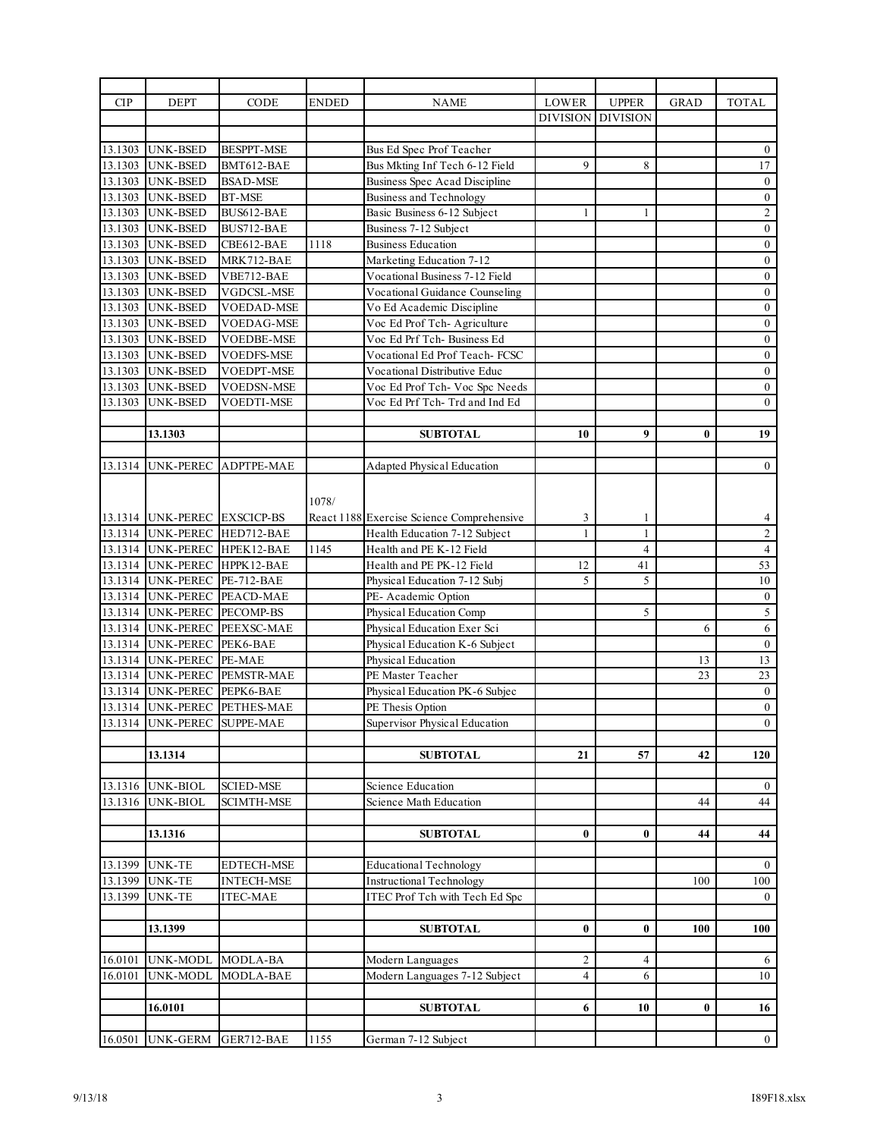| <b>CIP</b> | <b>DEPT</b>                         | CODE                         | ENDED | <b>NAME</b>                                                      | LOWER           | <b>UPPER</b>    | <b>GRAD</b> | <b>TOTAL</b>                         |
|------------|-------------------------------------|------------------------------|-------|------------------------------------------------------------------|-----------------|-----------------|-------------|--------------------------------------|
|            |                                     |                              |       |                                                                  | <b>DIVISION</b> | <b>DIVISION</b> |             |                                      |
|            |                                     |                              |       |                                                                  |                 |                 |             |                                      |
|            | 13.1303 UNK-BSED                    | <b>BESPPT-MSE</b>            |       | Bus Ed Spec Prof Teacher                                         |                 |                 |             | $\bf{0}$                             |
|            | 13.1303 UNK-BSED                    | BMT612-BAE                   |       | Bus Mkting Inf Tech 6-12 Field                                   | 9               | 8               |             | 17                                   |
|            | 13.1303 UNK-BSED                    | <b>BSAD-MSE</b>              |       | Business Spec Acad Discipline                                    |                 |                 |             | $\boldsymbol{0}$                     |
|            | 13.1303 UNK-BSED                    | <b>BT-MSE</b>                |       | Business and Technology                                          |                 |                 |             | $\boldsymbol{0}$                     |
|            | 13.1303 UNK-BSED                    | BUS612-BAE                   |       | Basic Business 6-12 Subject                                      | 1               | $\mathbf{1}$    |             | $\sqrt{2}$                           |
| 13.1303    | <b>UNK-BSED</b>                     | BUS712-BAE                   |       | Business 7-12 Subject                                            |                 |                 |             | $\boldsymbol{0}$                     |
|            | 13.1303 UNK-BSED                    | CBE612-BAE                   | 1118  | <b>Business Education</b>                                        |                 |                 |             | $\boldsymbol{0}$                     |
|            |                                     |                              |       |                                                                  |                 |                 |             |                                      |
|            | 13.1303 UNK-BSED                    | MRK712-BAE                   |       | Marketing Education 7-12                                         |                 |                 |             | $\boldsymbol{0}$<br>$\boldsymbol{0}$ |
| 13.1303    | <b>UNK-BSED</b><br>13.1303 UNK-BSED | VBE712-BAE<br>VGDCSL-MSE     |       | Vocational Business 7-12 Field<br>Vocational Guidance Counseling |                 |                 |             | $\boldsymbol{0}$                     |
|            |                                     |                              |       |                                                                  |                 |                 |             |                                      |
| 13.1303    | UNK-BSED                            | <b>VOEDAD-MSE</b>            |       | Vo Ed Academic Discipline                                        |                 |                 |             | $\boldsymbol{0}$                     |
| 13.1303    | <b>UNK-BSED</b>                     | <b>VOEDAG-MSE</b>            |       | Voc Ed Prof Tch-Agriculture                                      |                 |                 |             | $\boldsymbol{0}$                     |
| 13.1303    | <b>UNK-BSED</b>                     | <b>VOEDBE-MSE</b>            |       | Voc Ed Prf Tch- Business Ed                                      |                 |                 |             | $\boldsymbol{0}$                     |
| 13.1303    | UNK-BSED                            | VOEDFS-MSE                   |       | Vocational Ed Prof Teach- FCSC                                   |                 |                 |             | $\boldsymbol{0}$                     |
| 13.1303    | <b>UNK-BSED</b>                     | VOEDPT-MSE                   |       | Vocational Distributive Educ                                     |                 |                 |             | $\boldsymbol{0}$                     |
|            | 13.1303 UNK-BSED                    | <b>VOEDSN-MSE</b>            |       | Voc Ed Prof Tch- Voc Spc Needs                                   |                 |                 |             | $\boldsymbol{0}$                     |
| 13.1303    | <b>UNK-BSED</b>                     | <b>VOEDTI-MSE</b>            |       | Voc Ed Prf Tch- Trd and Ind Ed                                   |                 |                 |             | $\boldsymbol{0}$                     |
|            |                                     |                              |       |                                                                  |                 |                 |             |                                      |
|            | 13.1303                             |                              |       | <b>SUBTOTAL</b>                                                  | 10              | 9               | $\bf{0}$    | 19                                   |
|            |                                     |                              |       |                                                                  |                 |                 |             |                                      |
| 13.1314    | UNK-PEREC                           | ADPTPE-MAE                   |       | Adapted Physical Education                                       |                 |                 |             | $\mathbf{0}$                         |
|            |                                     |                              |       |                                                                  |                 |                 |             |                                      |
|            |                                     |                              | 1078/ |                                                                  |                 |                 |             |                                      |
|            | 13.1314 UNK-PEREC EXSCICP-BS        |                              |       | React 1188 Exercise Science Comprehensive                        | 3               | 1               |             | 4                                    |
|            |                                     | 13.1314 UNK-PEREC HED712-BAE |       | Health Education 7-12 Subject                                    | $\mathbf{1}$    | $\mathbf{1}$    |             | $\sqrt{2}$                           |
|            |                                     | 13.1314 UNK-PEREC HPEK12-BAE | 1145  | Health and PE K-12 Field                                         |                 | $\overline{4}$  |             | $\overline{4}$                       |
|            |                                     | 13.1314 UNK-PEREC HPPK12-BAE |       | Health and PE PK-12 Field                                        | 12              | 41              |             | 53                                   |
|            | 13.1314 UNK-PEREC PE-712-BAE        |                              |       | Physical Education 7-12 Subj                                     | 5               | 5               |             | 10                                   |
|            |                                     |                              |       | PE- Academic Option                                              |                 |                 |             | $\boldsymbol{0}$                     |
|            |                                     | 13.1314 UNK-PEREC PEACD-MAE  |       |                                                                  |                 | 5               |             | $\overline{5}$                       |
|            | 13.1314 UNK-PEREC PECOMP-BS         |                              |       | Physical Education Comp                                          |                 |                 |             |                                      |
|            |                                     | 13.1314 UNK-PEREC PEEXSC-MAE |       | Physical Education Exer Sci                                      |                 |                 | 6           | $\sqrt{6}$                           |
|            | 13.1314 UNK-PEREC PEK6-BAE          |                              |       | Physical Education K-6 Subject                                   |                 |                 |             | $\mathbf{0}$                         |
|            | 13.1314 UNK-PEREC PE-MAE            |                              |       | Physical Education                                               |                 |                 | 13          | 13                                   |
|            |                                     | 13.1314 UNK-PEREC PEMSTR-MAE |       | PE Master Teacher                                                |                 |                 | 23          | 23                                   |
|            | 13.1314 UNK-PEREC PEPK6-BAE         |                              |       | Physical Education PK-6 Subjec                                   |                 |                 |             | $\boldsymbol{0}$                     |
|            |                                     | 13.1314 UNK-PEREC PETHES-MAE |       | PE Thesis Option                                                 |                 |                 |             | $\boldsymbol{0}$                     |
|            |                                     | 13.1314 UNK-PEREC SUPPE-MAE  |       | Supervisor Physical Education                                    |                 |                 |             | $\boldsymbol{0}$                     |
|            |                                     |                              |       |                                                                  |                 |                 |             |                                      |
|            | 13.1314                             |                              |       | <b>SUBTOTAL</b>                                                  | 21              | 57              | 42          | 120                                  |
|            |                                     |                              |       |                                                                  |                 |                 |             |                                      |
| 13.1316    | UNK-BIOL                            | <b>SCIED-MSE</b>             |       | Science Education                                                |                 |                 |             | $\bf{0}$                             |
| 13.1316    | UNK-BIOL                            | <b>SCIMTH-MSE</b>            |       | Science Math Education                                           |                 |                 | 44          | 44                                   |
|            |                                     |                              |       |                                                                  |                 |                 |             |                                      |
|            | 13.1316                             |                              |       | <b>SUBTOTAL</b>                                                  | $\bf{0}$        | $\bf{0}$        | 44          | 44                                   |
|            |                                     |                              |       |                                                                  |                 |                 |             |                                      |
| 13.1399    | <b>UNK-TE</b>                       | <b>EDTECH-MSE</b>            |       | <b>Educational Technology</b>                                    |                 |                 |             | $\overline{0}$                       |
| 13.1399    | <b>UNK-TE</b>                       | <b>INTECH-MSE</b>            |       | <b>Instructional Technology</b>                                  |                 |                 | 100         | 100                                  |
| 13.1399    | UNK-TE                              | <b>ITEC-MAE</b>              |       | <b>ITEC</b> Prof Tch with Tech Ed Spc                            |                 |                 |             | $\mathbf{0}$                         |
|            |                                     |                              |       |                                                                  |                 |                 |             |                                      |
|            | 13.1399                             |                              |       | <b>SUBTOTAL</b>                                                  | $\bf{0}$        | $\bf{0}$        | 100         | 100                                  |
|            |                                     |                              |       |                                                                  |                 |                 |             |                                      |
| 16.0101    | UNK-MODL                            | MODLA-BA                     |       | Modern Languages                                                 | 2               | 4               |             | 6                                    |
| 16.0101    | UNK-MODL                            | MODLA-BAE                    |       | Modern Languages 7-12 Subject                                    | 4               | 6               |             | 10                                   |
|            |                                     |                              |       |                                                                  |                 |                 |             |                                      |
|            | 16.0101                             |                              |       | <b>SUBTOTAL</b>                                                  | 6               | 10              | $\bf{0}$    | 16                                   |
|            |                                     |                              |       |                                                                  |                 |                 |             |                                      |
|            |                                     |                              |       |                                                                  |                 |                 |             |                                      |
| 16.0501    | <b>UNK-GERM</b>                     | GER712-BAE                   | 1155  | German 7-12 Subject                                              |                 |                 |             | $\overline{0}$                       |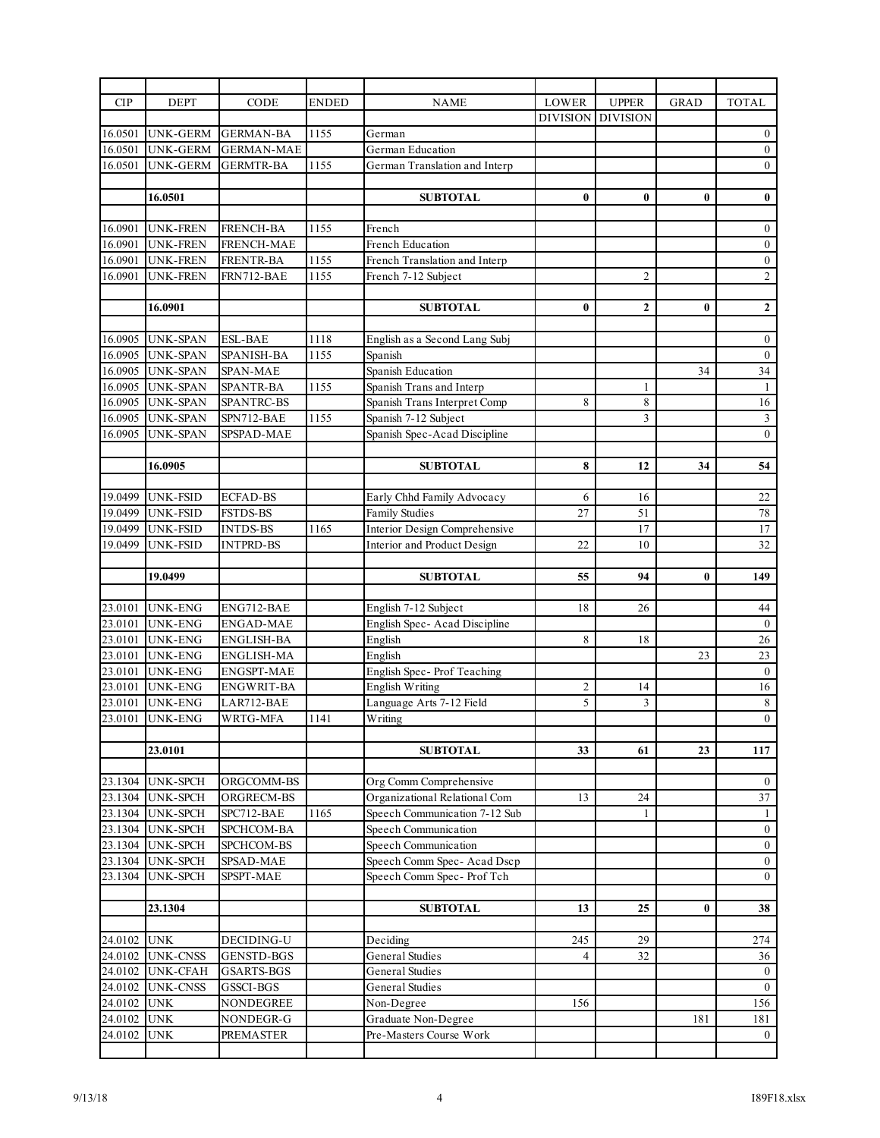| <b>CIP</b>                        | <b>DEPT</b>                         | CODE              | <b>ENDED</b> | <b>NAME</b>                                                    | LOWER           | <b>UPPER</b>    | <b>GRAD</b> | <b>TOTAL</b>     |
|-----------------------------------|-------------------------------------|-------------------|--------------|----------------------------------------------------------------|-----------------|-----------------|-------------|------------------|
|                                   |                                     |                   |              |                                                                | <b>DIVISION</b> | <b>DIVISION</b> |             |                  |
| 16.0501                           | UNK-GERM                            | <b>GERMAN-BA</b>  | 1155         | German                                                         |                 |                 |             | $\bf{0}$         |
| 16.0501                           | <b>UNK-GERM</b>                     | <b>GERMAN-MAE</b> |              | German Education                                               |                 |                 |             | $\boldsymbol{0}$ |
| 16.0501                           | UNK-GERM                            | <b>GERMTR-BA</b>  | 1155         | German Translation and Interp                                  |                 |                 |             | $\mathbf{0}$     |
|                                   |                                     |                   |              |                                                                |                 |                 |             |                  |
|                                   | 16.0501                             |                   |              | <b>SUBTOTAL</b>                                                | $\bf{0}$        | $\bf{0}$        | $\bf{0}$    | $\pmb{0}$        |
|                                   |                                     |                   |              |                                                                |                 |                 |             |                  |
| 16.0901                           | UNK-FREN                            | <b>FRENCH-BA</b>  | 1155         | French                                                         |                 |                 |             | $\boldsymbol{0}$ |
| 16.0901                           | <b>UNK-FREN</b>                     | <b>FRENCH-MAE</b> |              | French Education                                               |                 |                 |             | $0\,$            |
| 16.0901                           | <b>UNK-FREN</b>                     | <b>FRENTR-BA</b>  | 1155         | French Translation and Interp                                  |                 |                 |             | $\boldsymbol{0}$ |
| 16.0901                           | <b>UNK-FREN</b>                     | FRN712-BAE        | 1155         | French 7-12 Subject                                            |                 | $\mathfrak{2}$  |             | $\overline{2}$   |
|                                   |                                     |                   |              |                                                                |                 |                 |             |                  |
|                                   | 16.0901                             |                   |              | <b>SUBTOTAL</b>                                                | $\bf{0}$        | $\mathbf{2}$    | $\bf{0}$    | $\mathbf 2$      |
|                                   |                                     |                   |              |                                                                |                 |                 |             |                  |
| 16.0905                           | <b>UNK-SPAN</b>                     | <b>ESL-BAE</b>    | 1118         | English as a Second Lang Subj                                  |                 |                 |             | $\bf{0}$         |
| 16.0905                           | <b>UNK-SPAN</b>                     | <b>SPANISH-BA</b> | 1155         | Spanish                                                        |                 |                 |             | $\boldsymbol{0}$ |
| 16.0905                           | <b>UNK-SPAN</b>                     | SPAN-MAE          |              | Spanish Education                                              |                 |                 | 34          | 34               |
| 16.0905                           | <b>UNK-SPAN</b>                     | <b>SPANTR-BA</b>  | 1155         | Spanish Trans and Interp                                       |                 | 1               |             | $\mathbf{1}$     |
| 16.0905                           | <b>UNK-SPAN</b>                     | SPANTRC-BS        |              | Spanish Trans Interpret Comp                                   | 8               | 8               |             | $16\,$           |
| 16.0905                           | <b>UNK-SPAN</b>                     | SPN712-BAE        | 1155         | Spanish 7-12 Subject                                           |                 | 3               |             | $\mathfrak{Z}$   |
| 16.0905                           | <b>UNK-SPAN</b>                     | SPSPAD-MAE        |              | Spanish Spec-Acad Discipline                                   |                 |                 |             | $\mathbf{0}$     |
|                                   |                                     |                   |              |                                                                |                 |                 |             |                  |
|                                   | 16.0905                             |                   |              | <b>SUBTOTAL</b>                                                | 8               | 12              | 34          | 54               |
|                                   |                                     |                   |              |                                                                |                 |                 |             |                  |
| 19.0499                           | <b>UNK-FSID</b>                     | <b>ECFAD-BS</b>   |              | Early Chhd Family Advocacy                                     | 6               | 16              |             | 22               |
| 19.0499                           | <b>UNK-FSID</b>                     | <b>FSTDS-BS</b>   |              | <b>Family Studies</b>                                          | 27              | 51              |             | $78\,$           |
| 19.0499                           | <b>UNK-FSID</b>                     | <b>INTDS-BS</b>   | 1165         | Interior Design Comprehensive                                  |                 | 17              |             | 17               |
| 19.0499                           | UNK-FSID                            | <b>INTPRD-BS</b>  |              | Interior and Product Design                                    | 22              | 10              |             | 32               |
|                                   |                                     |                   |              |                                                                | 55              |                 |             | 149              |
|                                   |                                     |                   |              | <b>SUBTOTAL</b>                                                |                 | 94              | 0           |                  |
|                                   | 19.0499                             |                   |              |                                                                |                 |                 |             |                  |
|                                   |                                     |                   |              |                                                                |                 |                 |             |                  |
| 23.0101                           | UNK-ENG                             | ENG712-BAE        |              | English 7-12 Subject                                           | 18              | 26              |             | 44               |
| 23.0101                           | <b>UNK-ENG</b>                      | <b>ENGAD-MAE</b>  |              | English Spec-Acad Discipline                                   |                 |                 |             | $\mathbf{0}$     |
| 23.0101                           | <b>UNK-ENG</b>                      | ENGLISH-BA        |              | English                                                        | 8               | 18              |             | 26               |
| 23.0101                           | <b>UNK-ENG</b>                      | <b>ENGLISH-MA</b> |              | English                                                        |                 |                 | 23          | 23               |
| 23.0101                           | <b>UNK-ENG</b>                      | <b>ENGSPT-MAE</b> |              | English Spec-Prof Teaching                                     |                 |                 |             | $\mathbf{0}$     |
| 23.0101                           | <b>UNK-ENG</b>                      | <b>ENGWRIT-BA</b> |              | English Writing                                                | $\overline{c}$  | 14              |             | 16               |
| 23.0101                           | <b>UNK-ENG</b>                      | LAR712-BAE        |              | Language Arts 7-12 Field                                       | 5               | 3               |             | $\,8\,$          |
| 23.0101                           | <b>UNK-ENG</b>                      | WRTG-MFA          | 1141         | Writing                                                        |                 |                 |             | $\overline{0}$   |
|                                   |                                     |                   |              |                                                                | 33              |                 |             |                  |
|                                   | 23.0101                             |                   |              | <b>SUBTOTAL</b>                                                |                 | 61              | 23          | 117              |
|                                   |                                     | ORGCOMM-BS        |              | Org Comm Comprehensive                                         |                 |                 |             | $\bf{0}$         |
| 23.1304                           | 23.1304 UNK-SPCH<br><b>UNK-SPCH</b> | ORGRECM-BS        |              |                                                                | 13              | 24              |             | 37               |
|                                   | 23.1304 UNK-SPCH                    | SPC712-BAE        | 1165         | Organizational Relational Com<br>Speech Communication 7-12 Sub |                 | 1               |             | $\mathbf{1}$     |
|                                   | <b>UNK-SPCH</b>                     | SPCHCOM-BA        |              | Speech Communication                                           |                 |                 |             | $\boldsymbol{0}$ |
| 23.1304                           | <b>UNK-SPCH</b>                     | SPCHCOM-BS        |              | Speech Communication                                           |                 |                 |             | $\boldsymbol{0}$ |
| 23.1304<br>23.1304                | <b>UNK-SPCH</b>                     | SPSAD-MAE         |              | Speech Comm Spec-Acad Dscp                                     |                 |                 |             | $0\,$            |
|                                   | <b>UNK-SPCH</b>                     | SPSPT-MAE         |              | Speech Comm Spec- Prof Tch                                     |                 |                 |             | $\boldsymbol{0}$ |
| 23.1304                           |                                     |                   |              |                                                                |                 |                 |             |                  |
|                                   | 23.1304                             |                   |              | <b>SUBTOTAL</b>                                                | 13              | 25              | $\bf{0}$    | 38               |
|                                   |                                     |                   |              |                                                                |                 |                 |             |                  |
|                                   | UNK                                 | DECIDING-U        |              | Deciding                                                       | 245             | 29              |             | 274              |
| 24.0102<br>24.0102                | <b>UNK-CNSS</b>                     | <b>GENSTD-BGS</b> |              | General Studies                                                | 4               | 32              |             | 36               |
|                                   | UNK-CFAH                            | <b>GSARTS-BGS</b> |              | General Studies                                                |                 |                 |             | $\bf{0}$         |
|                                   | <b>UNK-CNSS</b>                     | GSSCI-BGS         |              | General Studies                                                |                 |                 |             | $\mathbf{0}$     |
| 24.0102<br>24.0102<br>24.0102 UNK |                                     | NONDEGREE         |              | Non-Degree                                                     | 156             |                 |             | 156              |
| 24.0102                           | <b>UNK</b>                          | NONDEGR-G         |              | Graduate Non-Degree                                            |                 |                 | 181         | 181              |
| 24.0102                           | <b>UNK</b>                          | <b>PREMASTER</b>  |              | Pre-Masters Course Work                                        |                 |                 |             | $\overline{0}$   |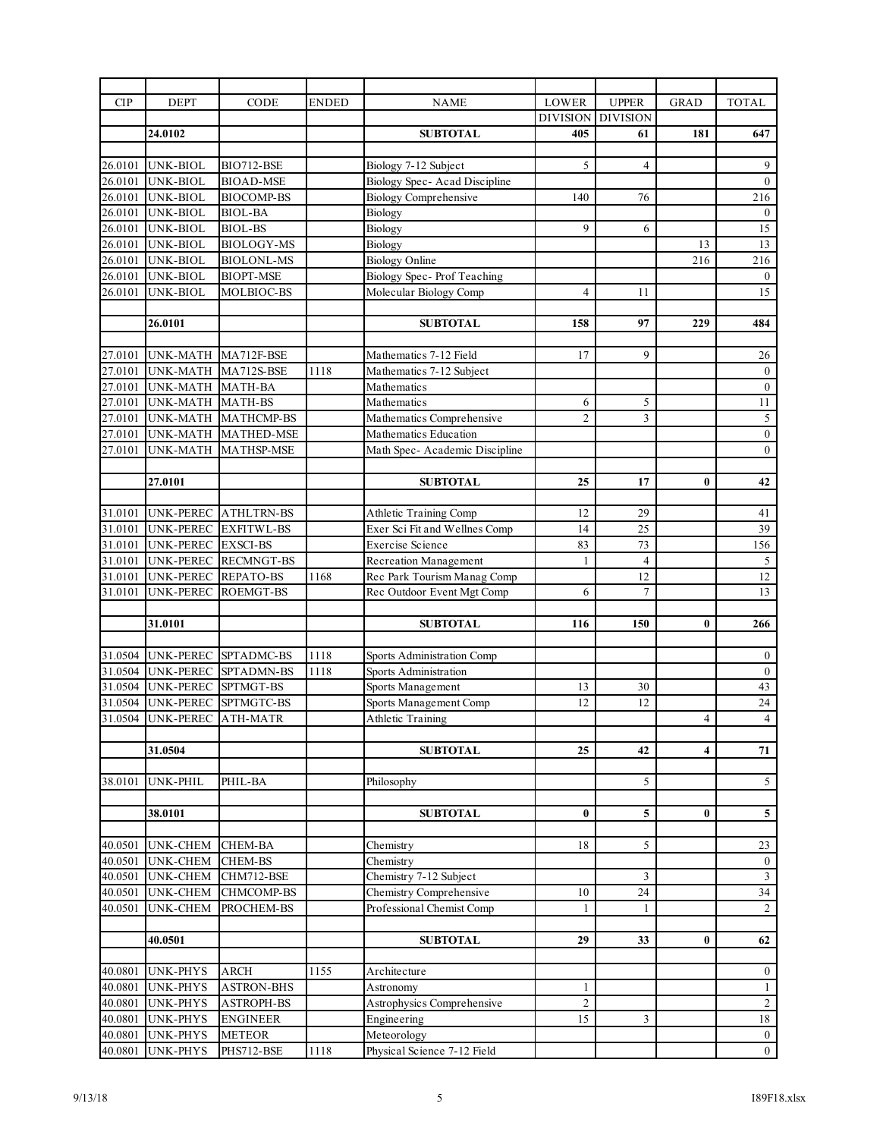| <b>CIP</b> | <b>DEPT</b>                 | CODE                         | <b>ENDED</b> | <b>NAME</b>                    | LOWER           | <b>UPPER</b>    | <b>GRAD</b>    | <b>TOTAL</b>            |
|------------|-----------------------------|------------------------------|--------------|--------------------------------|-----------------|-----------------|----------------|-------------------------|
|            |                             |                              |              |                                | <b>DIVISION</b> | <b>DIVISION</b> |                |                         |
|            | 24.0102                     |                              |              | <b>SUBTOTAL</b>                | 405             | 61              | 181            | 647                     |
|            |                             |                              |              |                                |                 |                 |                |                         |
| 26.0101    | <b>UNK-BIOL</b>             | BIO712-BSE                   |              | Biology 7-12 Subject           | 5               | $\overline{4}$  |                | 9                       |
| 26.0101    | <b>UNK-BIOL</b>             | <b>BIOAD-MSE</b>             |              | Biology Spec- Acad Discipline  |                 |                 |                | $\mathbf{0}$            |
| 26.0101    | <b>UNK-BIOL</b>             | <b>BIOCOMP-BS</b>            |              | <b>Biology Comprehensive</b>   | 140             | 76              |                | 216                     |
| 26.0101    | <b>UNK-BIOL</b>             | <b>BIOL-BA</b>               |              | Biology                        |                 |                 |                | $\boldsymbol{0}$        |
| 26.0101    | <b>UNK-BIOL</b>             | <b>BIOL-BS</b>               |              | Biology                        | 9               | 6               |                | 15                      |
| 26.0101    | UNK-BIOL                    | <b>BIOLOGY-MS</b>            |              | Biology                        |                 |                 | 13             | 13                      |
| 26.0101    | <b>UNK-BIOL</b>             | <b>BIOLONL-MS</b>            |              | <b>Biology Online</b>          |                 |                 | 216            | 216                     |
| 26.0101    | <b>UNK-BIOL</b>             | <b>BIOPT-MSE</b>             |              | Biology Spec- Prof Teaching    |                 |                 |                | $\mathbf{0}$            |
| 26.0101    | UNK-BIOL                    | MOLBIOC-BS                   |              | Molecular Biology Comp         | $\overline{4}$  | 11              |                | 15                      |
|            |                             |                              |              |                                |                 |                 |                |                         |
|            | 26.0101                     |                              |              | <b>SUBTOTAL</b>                | 158             | 97              | 229            | 484                     |
|            |                             |                              |              |                                |                 |                 |                |                         |
| 27.0101    | UNK-MATH MA712F-BSE         |                              |              | Mathematics 7-12 Field         | 17              | 9               |                | 26                      |
| 27.0101    | UNK-MATH MA712S-BSE         |                              | 1118         | Mathematics 7-12 Subject       |                 |                 |                | $\boldsymbol{0}$        |
| 27.0101    | UNK-MATH MATH-BA            |                              |              | Mathematics                    |                 |                 |                | $\overline{0}$          |
| 27.0101    | UNK-MATH MATH-BS            |                              |              | Mathematics                    | 6               | 5               |                | 11                      |
| 27.0101    |                             | UNK-MATH MATHCMP-BS          |              | Mathematics Comprehensive      | $\overline{2}$  | 3               |                | $\sqrt{5}$              |
| 27.0101    |                             | UNK-MATH MATHED-MSE          |              | Mathematics Education          |                 |                 |                | $0\,$                   |
| 27.0101    | UNK-MATH                    | <b>MATHSP-MSE</b>            |              | Math Spec- Academic Discipline |                 |                 |                | $\mathbf{0}$            |
|            |                             |                              |              |                                |                 |                 |                |                         |
|            | 27.0101                     |                              |              | <b>SUBTOTAL</b>                | 25              | 17              | $\bf{0}$       | 42                      |
|            |                             |                              |              |                                |                 |                 |                |                         |
| 31.0101    | UNK-PEREC                   | <b>ATHLTRN-BS</b>            |              | Athletic Training Comp         | 12              | 29              |                | 41                      |
| 31.0101    |                             | UNK-PEREC EXFITWL-BS         |              | Exer Sci Fit and Wellnes Comp  | 14              | 25              |                | 39                      |
| 31.0101    | UNK-PEREC EXSCI-BS          |                              |              | <b>Exercise Science</b>        | 83              | 73              |                | 156                     |
| 31.0101    |                             | UNK-PEREC RECMNGT-BS         |              | Recreation Management          | 1               | $\overline{4}$  |                | 5                       |
| 31.0101    | UNK-PEREC REPATO-BS         |                              | 1168         | Rec Park Tourism Manag Comp    |                 | 12              |                | $\overline{12}$         |
| 31.0101    | UNK-PEREC                   | <b>ROEMGT-BS</b>             |              | Rec Outdoor Event Mgt Comp     | 6               | $\overline{7}$  |                | 13                      |
|            |                             |                              |              |                                |                 |                 |                |                         |
|            | 31.0101                     |                              |              | <b>SUBTOTAL</b>                | 116             | 150             | $\bf{0}$       | 266                     |
|            |                             |                              |              |                                |                 |                 |                |                         |
|            | 31.0504 UNK-PEREC           | SPTADMC-BS                   | 1118         | Sports Administration Comp     |                 |                 |                | $\boldsymbol{0}$        |
|            |                             | 31.0504 UNK-PEREC SPTADMN-BS | 1118         | Sports Administration          |                 |                 |                | $\boldsymbol{0}$        |
|            | 31.0504 UNK-PEREC SPTMGT-BS |                              |              | Sports Management              | 13              | 30              |                | 43                      |
|            |                             | 31.0504 UNK-PEREC SPTMGTC-BS |              | Sports Management Comp         | 12              | 12              |                | 24                      |
|            | 31.0504 UNK-PEREC ATH-MATR  |                              |              | Athletic Training              |                 |                 | $\overline{4}$ | $\overline{4}$          |
|            |                             |                              |              |                                |                 |                 |                |                         |
|            | 31.0504                     |                              |              | <b>SUBTOTAL</b>                | 25              | 42              | 4              | 71                      |
|            |                             |                              |              |                                |                 |                 |                |                         |
| 38.0101    | UNK-PHIL                    | PHIL-BA                      |              | Philosophy                     |                 | 5               |                | $\mathfrak{S}$          |
|            |                             |                              |              |                                |                 |                 |                |                         |
|            | 38.0101                     |                              |              | <b>SUBTOTAL</b>                | 0               | 5               | $\bf{0}$       | $\sqrt{5}$              |
|            |                             |                              |              |                                |                 |                 |                |                         |
| 40.0501    | <b>UNK-CHEM</b>             | <b>CHEM-BA</b>               |              | Chemistry                      | 18              | 5               |                | 23                      |
| 40.0501    | <b>UNK-CHEM</b>             | <b>CHEM-BS</b>               |              | Chemistry                      |                 |                 |                | $\boldsymbol{0}$        |
| 40.0501    | <b>UNK-CHEM</b>             | CHM712-BSE                   |              | Chemistry 7-12 Subject         |                 | 3               |                | $\overline{\mathbf{3}}$ |
| 40.0501    | <b>UNK-CHEM</b>             | <b>CHMCOMP-BS</b>            |              | Chemistry Comprehensive        | 10              | 24              |                | 34                      |
| 40.0501    | <b>UNK-CHEM</b>             | PROCHEM-BS                   |              | Professional Chemist Comp      | 1               | 1               |                | $\sqrt{2}$              |
|            |                             |                              |              |                                |                 |                 |                |                         |
|            | 40.0501                     |                              |              | <b>SUBTOTAL</b>                | 29              | 33              | 0              | 62                      |
|            |                             |                              |              |                                |                 |                 |                |                         |
| 40.0801    | <b>UNK-PHYS</b>             | <b>ARCH</b>                  | 1155         | Architecture                   |                 |                 |                | $\boldsymbol{0}$        |
| 40.0801    | UNK-PHYS                    | <b>ASTRON-BHS</b>            |              | Astronomy                      | 1               |                 |                | $\mathbf{1}$            |
| 40.0801    | <b>UNK-PHYS</b>             | <b>ASTROPH-BS</b>            |              | Astrophysics Comprehensive     | 2               |                 |                | $\overline{c}$          |
| 40.0801    | <b>UNK-PHYS</b>             | <b>ENGINEER</b>              |              | Engineering                    | 15              | 3               |                | $18\,$                  |
| 40.0801    | UNK-PHYS                    | <b>METEOR</b>                |              | Meteorology                    |                 |                 |                | $\boldsymbol{0}$        |
| 40.0801    | <b>UNK-PHYS</b>             | PHS712-BSE                   | 1118         | Physical Science 7-12 Field    |                 |                 |                | $\boldsymbol{0}$        |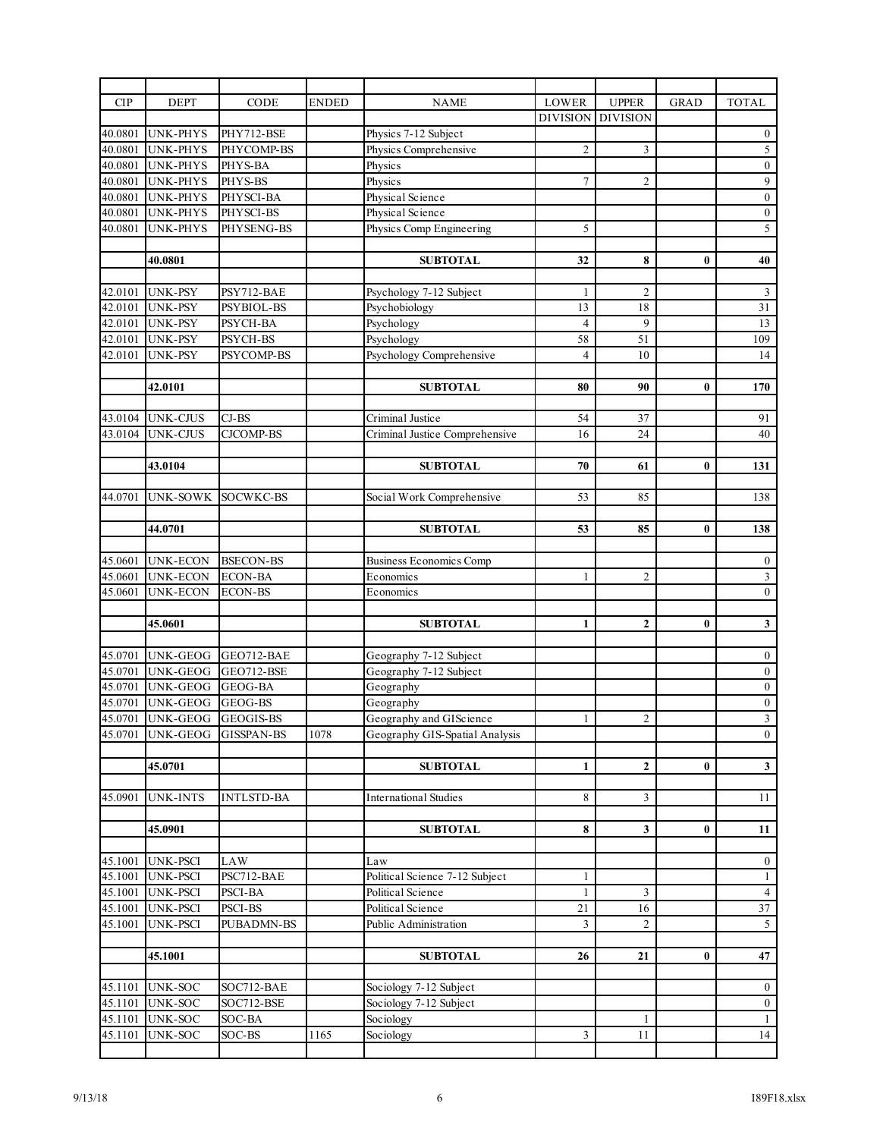| <b>CIP</b>         | <b>DEPT</b>                        | CODE                         | ENDED | <b>NAME</b>                                      | <b>LOWER</b>    | <b>UPPER</b>    | <b>GRAD</b>  | <b>TOTAL</b>                       |
|--------------------|------------------------------------|------------------------------|-------|--------------------------------------------------|-----------------|-----------------|--------------|------------------------------------|
|                    |                                    |                              |       |                                                  | <b>DIVISION</b> | <b>DIVISION</b> |              |                                    |
| 40.0801            | <b>UNK-PHYS</b>                    | PHY712-BSE                   |       | Physics 7-12 Subject                             |                 |                 |              | $\boldsymbol{0}$                   |
| 40.0801            | <b>UNK-PHYS</b>                    | PHYCOMP-BS                   |       | Physics Comprehensive                            | $\overline{2}$  | 3               |              | $\overline{5}$                     |
| 40.0801            | <b>UNK-PHYS</b>                    | PHYS-BA                      |       | Physics                                          |                 |                 |              | $\boldsymbol{0}$                   |
| 40.0801            | <b>UNK-PHYS</b>                    | PHYS-BS                      |       | Physics                                          | $\tau$          | $\overline{c}$  |              | $\overline{9}$                     |
| 40.0801            | <b>UNK-PHYS</b>                    | PHYSCI-BA                    |       | Physical Science                                 |                 |                 |              | $\boldsymbol{0}$                   |
| 40.0801            | <b>UNK-PHYS</b>                    | PHYSCI-BS                    |       | Physical Science                                 |                 |                 |              | $\boldsymbol{0}$                   |
| 40.0801            | <b>UNK-PHYS</b>                    | PHYSENG-BS                   |       | Physics Comp Engineering                         | 5               |                 |              | $\overline{5}$                     |
|                    |                                    |                              |       |                                                  |                 |                 |              |                                    |
|                    | 40.0801                            |                              |       | <b>SUBTOTAL</b>                                  | 32              | 8               | $\bf{0}$     | 40                                 |
|                    |                                    |                              |       |                                                  |                 |                 |              |                                    |
| 42.0101            | UNK-PSY                            | PSY712-BAE                   |       | Psychology 7-12 Subject                          | $\mathbf{1}$    | $\overline{c}$  |              | $\overline{\mathbf{3}}$            |
| 42.0101            | UNK-PSY                            | <b>PSYBIOL-BS</b>            |       | Psychobiology                                    | 13              | 18              |              | 31                                 |
| 42.0101            | <b>UNK-PSY</b>                     | PSYCH-BA                     |       | Psychology                                       | $\overline{4}$  | 9               |              | $\overline{13}$                    |
| 42.0101            | <b>UNK-PSY</b>                     | PSYCH-BS                     |       | Psychology                                       | 58              | 51              |              | 109                                |
| 42.0101            | <b>UNK-PSY</b>                     | PSYCOMP-BS                   |       | Psychology Comprehensive                         | $\overline{4}$  | 10              |              | 14                                 |
|                    |                                    |                              |       |                                                  |                 |                 |              |                                    |
|                    | 42.0101                            |                              |       | <b>SUBTOTAL</b>                                  | 80              | 90              | $\bf{0}$     | 170                                |
|                    | 43.0104 UNK-CJUS                   | $CJ-BS$                      |       | Criminal Justice                                 | 54              | 37              |              | 91                                 |
| 43.0104            | <b>UNK-CJUS</b>                    | <b>CJCOMP-BS</b>             |       | Criminal Justice Comprehensive                   | 16              | 24              |              | 40                                 |
|                    |                                    |                              |       |                                                  |                 |                 |              |                                    |
|                    | 43.0104                            |                              |       | <b>SUBTOTAL</b>                                  | 70              | 61              | $\bf{0}$     | 131                                |
|                    |                                    |                              |       |                                                  |                 |                 |              |                                    |
| 44.0701            | UNK-SOWK                           | SOCWKC-BS                    |       | Social Work Comprehensive                        | 53              | 85              |              | 138                                |
|                    |                                    |                              |       |                                                  |                 |                 |              |                                    |
|                    | 44.0701                            |                              |       | <b>SUBTOTAL</b>                                  | 53              | 85              | $\mathbf{0}$ | 138                                |
|                    |                                    |                              |       |                                                  |                 |                 |              |                                    |
| 45.0601            | <b>UNK-ECON</b>                    | <b>BSECON-BS</b>             |       | <b>Business Economics Comp</b>                   |                 |                 |              | $\boldsymbol{0}$                   |
| 45.0601            | <b>UNK-ECON</b>                    | <b>ECON-BA</b>               |       | Economics                                        | 1               | $\mathfrak{2}$  |              | $\overline{\mathbf{3}}$            |
| 45.0601            | UNK-ECON                           | <b>ECON-BS</b>               |       | Economics                                        |                 |                 |              | $\boldsymbol{0}$                   |
|                    |                                    |                              |       |                                                  |                 |                 |              |                                    |
|                    | 45.0601                            |                              |       | <b>SUBTOTAL</b>                                  | $\mathbf{1}$    | $\mathbf{2}$    | $\bf{0}$     | $\overline{\mathbf{3}}$            |
|                    | <b>UNK-GEOG</b>                    |                              |       |                                                  |                 |                 |              |                                    |
| 45.0701<br>45.0701 | <b>UNK-GEOG</b>                    | GEO712-BAE<br>GEO712-BSE     |       | Geography 7-12 Subject<br>Geography 7-12 Subject |                 |                 |              | $\boldsymbol{0}$<br>$\overline{0}$ |
| 45.0701            | <b>UNK-GEOG</b>                    | GEOG-BA                      |       | Geography                                        |                 |                 |              | $\boldsymbol{0}$                   |
| 45.0701            | UNK-GEOG                           | GEOG-BS                      |       | Geography                                        |                 |                 |              | $\boldsymbol{0}$                   |
| 45.0701            | UNK-GEOG GEOGIS-BS                 |                              |       | Geography and GIScience                          |                 | $\mathfrak{2}$  |              | $\overline{\mathbf{3}}$            |
| 45.0701            | <b>UNK-GEOG</b>                    | <b>GISSPAN-BS</b>            | 1078  | Geography GIS-Spatial Analysis                   |                 |                 |              | $\mathbf{0}$                       |
|                    |                                    |                              |       |                                                  |                 |                 |              |                                    |
|                    | 45.0701                            |                              |       | <b>SUBTOTAL</b>                                  | $\mathbf{1}$    | $\mathbf{2}$    | $\bf{0}$     | $\mathbf{3}$                       |
|                    |                                    |                              |       |                                                  |                 |                 |              |                                    |
| 45.0901            | <b>UNK-INTS</b>                    | <b>INTLSTD-BA</b>            |       | <b>International Studies</b>                     | 8               | 3               |              | 11                                 |
|                    |                                    |                              |       |                                                  |                 |                 |              |                                    |
|                    | 45.0901                            |                              |       | <b>SUBTOTAL</b>                                  | 8               | 3               | $\bf{0}$     | 11                                 |
|                    |                                    |                              |       |                                                  |                 |                 |              |                                    |
| 45.1001            | <b>UNK-PSCI</b>                    | <b>LAW</b>                   |       | Law                                              |                 |                 |              | $\boldsymbol{0}$                   |
| 45.1001            | <b>UNK-PSCI</b>                    | PSC712-BAE                   |       | Political Science 7-12 Subject                   | 1               |                 |              | $\mathbf{1}$                       |
| 45.1001            | <b>UNK-PSCI</b>                    | PSCI-BA                      |       | Political Science                                | $\mathbf{1}$    | 3               |              | $\overline{4}$                     |
| 45.1001<br>45.1001 | <b>UNK-PSCI</b><br><b>UNK-PSCI</b> | PSCI-BS<br><b>PUBADMN-BS</b> |       | Political Science<br>Public Administration       | 21<br>3         | 16<br>2         |              | 37<br>$\mathfrak{S}$               |
|                    |                                    |                              |       |                                                  |                 |                 |              |                                    |
|                    | 45.1001                            |                              |       | <b>SUBTOTAL</b>                                  | 26              | 21              | $\bf{0}$     | 47                                 |
|                    |                                    |                              |       |                                                  |                 |                 |              |                                    |
| 45.1101            | <b>UNK-SOC</b>                     | SOC712-BAE                   |       | Sociology 7-12 Subject                           |                 |                 |              | $\boldsymbol{0}$                   |
| 45.1101            | <b>UNK-SOC</b>                     | SOC712-BSE                   |       | Sociology 7-12 Subject                           |                 |                 |              | $\boldsymbol{0}$                   |
| 45.1101            | UNK-SOC                            | SOC-BA                       |       | Sociology                                        |                 | 1               |              | $\mathbf{1}$                       |
| 45.1101            | UNK-SOC                            | SOC-BS                       | 1165  | Sociology                                        | $\sqrt{3}$      | 11              |              | 14                                 |
|                    |                                    |                              |       |                                                  |                 |                 |              |                                    |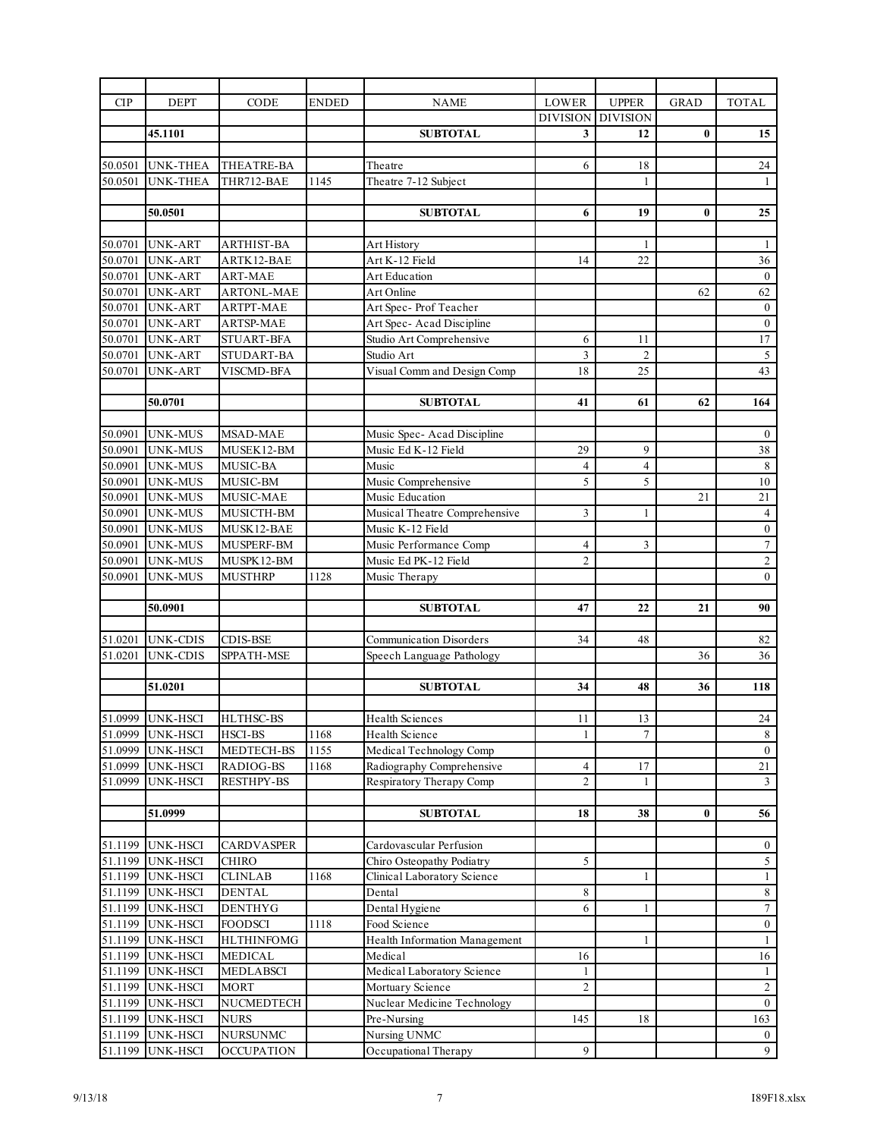| CIP                | <b>DEPT</b>               | CODE              | <b>ENDED</b> | <b>NAME</b>                    | <b>LOWER</b>        | <b>UPPER</b>        | <b>GRAD</b> | <b>TOTAL</b>                       |
|--------------------|---------------------------|-------------------|--------------|--------------------------------|---------------------|---------------------|-------------|------------------------------------|
|                    |                           |                   |              |                                | <b>DIVISION</b>     | <b>DIVISION</b>     |             |                                    |
|                    | 45.1101                   |                   |              | <b>SUBTOTAL</b>                | 3                   | 12                  | $\bf{0}$    | 15                                 |
|                    |                           |                   |              |                                |                     |                     |             |                                    |
| 50.0501            | <b>UNK-THEA</b>           | THEATRE-BA        |              | Theatre                        | 6                   | 18                  |             | $24\,$                             |
| 50.0501            | <b>UNK-THEA</b>           | THR712-BAE        | 1145         | Theatre 7-12 Subject           |                     | $\mathbf{1}$        |             | 1                                  |
|                    |                           |                   |              |                                |                     |                     |             |                                    |
|                    | 50.0501                   |                   |              | <b>SUBTOTAL</b>                | 6                   | 19                  | $\bf{0}$    | 25                                 |
|                    |                           |                   |              |                                |                     |                     |             |                                    |
| 50.0701            | <b>UNK-ART</b>            | ARTHIST-BA        |              | Art History                    |                     | 1                   |             | -1                                 |
| 50.0701            | UNK-ART                   | ARTK12-BAE        |              | Art K-12 Field                 | 14                  | $22\,$              |             | 36                                 |
| 50.0701            | <b>UNK-ART</b>            | <b>ART-MAE</b>    |              | Art Education                  |                     |                     |             | $\boldsymbol{0}$                   |
| 50.0701            | <b>UNK-ART</b>            | <b>ARTONL-MAE</b> |              | Art Online                     |                     |                     | 62          | 62                                 |
| 50.0701            | <b>UNK-ART</b>            | ARTPT-MAE         |              | Art Spec- Prof Teacher         |                     |                     |             | $\boldsymbol{0}$                   |
| 50.0701            | <b>UNK-ART</b>            | ARTSP-MAE         |              | Art Spec-Acad Discipline       |                     |                     |             | $\mathbf{0}$                       |
| 50.0701            | <b>UNK-ART</b>            | <b>STUART-BFA</b> |              | Studio Art Comprehensive       | 6                   | 11                  |             | $17\,$                             |
| 50.0701            | UNK-ART                   | STUDART-BA        |              | Studio Art                     | 3                   | $\overline{c}$      |             | $\sqrt{5}$                         |
| 50.0701            | <b>UNK-ART</b>            | VISCMD-BFA        |              | Visual Comm and Design Comp    | 18                  | 25                  |             | 43                                 |
|                    |                           |                   |              |                                |                     |                     |             |                                    |
|                    | 50.0701                   |                   |              | <b>SUBTOTAL</b>                | 41                  | 61                  | 62          | 164                                |
|                    |                           |                   |              |                                |                     |                     |             |                                    |
| 50.0901            | <b>UNK-MUS</b>            | MSAD-MAE          |              | Music Spec- Acad Discipline    |                     |                     |             | $\bf{0}$                           |
| 50.0901            | <b>UNK-MUS</b>            | MUSEK12-BM        |              | Music Ed K-12 Field            | 29                  | 9                   |             | 38                                 |
| 50.0901            | <b>UNK-MUS</b>            | MUSIC-BA          |              | Music                          | 4<br>5              | $\overline{4}$<br>5 |             | $\sqrt{8}$                         |
| 50.0901            | <b>UNK-MUS</b>            | MUSIC-BM          |              | Music Comprehensive            |                     |                     |             | $10\,$                             |
| 50.0901            | <b>UNK-MUS</b>            | MUSIC-MAE         |              | Music Education                |                     |                     | 21          | $21\,$                             |
| 50.0901<br>50.0901 | <b>UNK-MUS</b><br>UNK-MUS | MUSICTH-BM        |              | Musical Theatre Comprehensive  | 3                   | 1                   |             | $\overline{4}$                     |
|                    |                           | MUSK12-BAE        |              | Music K-12 Field               |                     |                     |             | $\boldsymbol{0}$<br>$\overline{7}$ |
| 50.0901            | <b>UNK-MUS</b>            | MUSPERF-BM        |              | Music Performance Comp         | 4<br>$\overline{c}$ | 3                   |             | $\overline{2}$                     |
| 50.0901<br>50.0901 | <b>UNK-MUS</b>            | MUSPK12-BM        |              | Music Ed PK-12 Field           |                     |                     |             | $\boldsymbol{0}$                   |
|                    | <b>UNK-MUS</b>            | <b>MUSTHRP</b>    | 1128         | Music Therapy                  |                     |                     |             |                                    |
|                    | 50.0901                   |                   |              | <b>SUBTOTAL</b>                | 47                  | 22                  | 21          | 90                                 |
|                    |                           |                   |              |                                |                     |                     |             |                                    |
| 51.0201            | UNK-CDIS                  | <b>CDIS-BSE</b>   |              | <b>Communication Disorders</b> | 34                  | 48                  |             | 82                                 |
| 51.0201            | <b>UNK-CDIS</b>           | SPPATH-MSE        |              | Speech Language Pathology      |                     |                     | 36          | 36                                 |
|                    |                           |                   |              |                                |                     |                     |             |                                    |
|                    | 51.0201                   |                   |              | <b>SUBTOTAL</b>                | 34                  | 48                  | 36          | 118                                |
|                    |                           |                   |              |                                |                     |                     |             |                                    |
|                    | 51.0999 UNK-HSCI          | HLTHSC-BS         |              | Health Sciences                | 11                  | 13                  |             | 24                                 |
| 51.0999            | <b>UNK-HSCI</b>           | HSCI-BS           | 1168         | Health Science                 | 1                   | $\tau$              |             | $\,8\,$                            |
| 51.0999            | <b>UNK-HSCI</b>           | MEDTECH-BS        | 1155         | Medical Technology Comp        |                     |                     |             | $\boldsymbol{0}$                   |
| 51.0999            | <b>UNK-HSCI</b>           | RADIOG-BS         | 1168         | Radiography Comprehensive      | 4                   | 17                  |             | 21                                 |
| 51.0999            | <b>UNK-HSCI</b>           | <b>RESTHPY-BS</b> |              | Respiratory Therapy Comp       | $\overline{c}$      | $\mathbf{1}$        |             | $\mathfrak{Z}$                     |
|                    |                           |                   |              |                                |                     |                     |             |                                    |
|                    | 51.0999                   |                   |              | <b>SUBTOTAL</b>                | 18                  | 38                  | 0           | 56                                 |
|                    |                           |                   |              |                                |                     |                     |             |                                    |
| 51.1199            | UNK-HSCI                  | CARDVASPER        |              | Cardovascular Perfusion        |                     |                     |             | $\bf{0}$                           |
| 51.1199            | <b>UNK-HSCI</b>           | <b>CHIRO</b>      |              | Chiro Osteopathy Podiatry      | 5                   |                     |             | $\overline{5}$                     |
| 51.1199            | <b>UNK-HSCI</b>           | <b>CLINLAB</b>    | 1168         | Clinical Laboratory Science    |                     | $\mathbf{1}$        |             | $\mathbf{1}$                       |
| 51.1199            | <b>UNK-HSCI</b>           | <b>DENTAL</b>     |              | Dental                         | 8                   |                     |             | $\,8\,$                            |
| 51.1199            | <b>UNK-HSCI</b>           | <b>DENTHYG</b>    |              | Dental Hygiene                 | 6                   | 1                   |             | $\boldsymbol{7}$                   |
| 51.1199            | UNK-HSCI                  | <b>FOODSCI</b>    | 1118         | Food Science                   |                     |                     |             | $\boldsymbol{0}$                   |
| 51.1199            | <b>UNK-HSCI</b>           | <b>HLTHINFOMG</b> |              | Health Information Management  |                     | $\mathbf{1}$        |             | $\mathbf{1}$                       |
| 51.1199            | <b>UNK-HSCI</b>           | <b>MEDICAL</b>    |              | Medical                        | 16                  |                     |             | $16\,$                             |
| 51.1199            | <b>UNK-HSCI</b>           | <b>MEDLABSCI</b>  |              | Medical Laboratory Science     | 1                   |                     |             | $\mathbf{1}$                       |
| 51.1199            | <b>UNK-HSCI</b>           | <b>MORT</b>       |              | Mortuary Science               | $\overline{c}$      |                     |             | $\sqrt{2}$                         |
| 51.1199            | <b>UNK-HSCI</b>           | NUCMEDTECH        |              | Nuclear Medicine Technology    |                     |                     |             | $\mathbf{0}$                       |
| 51.1199            | UNK-HSCI                  | NURS              |              | Pre-Nursing                    | 145                 | 18                  |             | 163                                |
| 51.1199            | <b>UNK-HSCI</b>           | NURSUNMC          |              | Nursing UNMC                   |                     |                     |             | $\overline{0}$                     |
| 51.1199            | UNK-HSCI                  | <b>OCCUPATION</b> |              | Occupational Therapy           | 9                   |                     |             | $\overline{9}$                     |